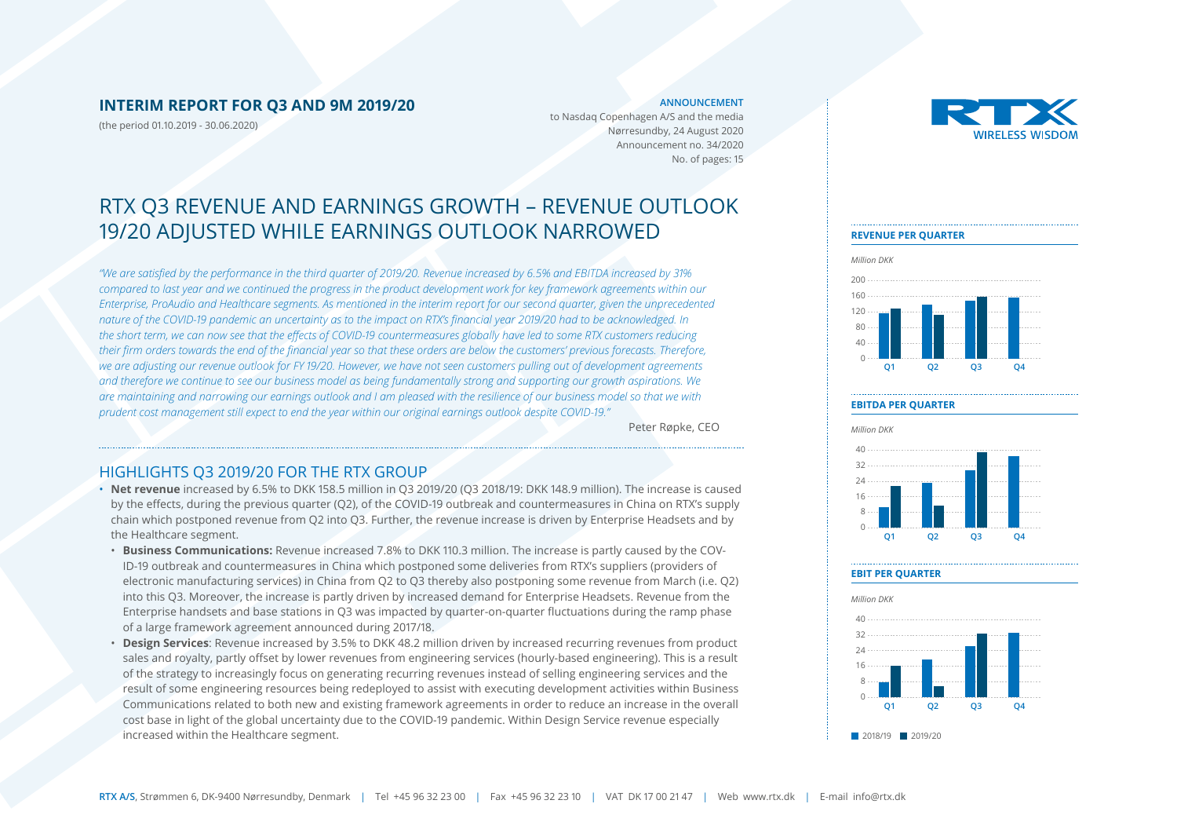### **INTERIM REPORT FOR Q3 AND 9M 2019/20**

(the period 01.10.2019 - 30.06.2020)

#### **ANNOUNCEMENT**

to Nasdaq Copenhagen A/S and the media Nørresundby, 24 August 2020 Announcement no. 34/2020 No. of pages: 15

# RTX Q3 REVENUE AND EARNINGS GROWTH – REVENUE OUTLOOK 19/20 ADJUSTED WHILE EARNINGS OUTLOOK NARROWED

*"We are satisfied by the performance in the third quarter of 2019/20. Revenue increased by 6.5% and EBITDA increased by 31% compared to last year and we continued the progress in the product development work for key framework agreements within our Enterprise, ProAudio and Healthcare segments. As mentioned in the interim report for our second quarter, given the unprecedented nature of the COVID-19 pandemic an uncertainty as to the impact on RTX's financial year 2019/20 had to be acknowledged. In the short term, we can now see that the effects of COVID-19 countermeasures globally have led to some RTX customers reducing their firm orders towards the end of the financial year so that these orders are below the customers' previous forecasts. Therefore, we are adjusting our revenue outlook for FY 19/20. However, we have not seen customers pulling out of development agreements and therefore we continue to see our business model as being fundamentally strong and supporting our growth aspirations. We are maintaining and narrowing our earnings outlook and I am pleased with the resilience of our business model so that we with prudent cost management still expect to end the year within our original earnings outlook despite COVID-19."* 

Peter Røpke, CEO

### HIGHLIGHTS Q3 2019/20 FOR THE RTX GROUP

- **Net revenue** increased by 6.5% to DKK 158.5 million in Q3 2019/20 (Q3 2018/19: DKK 148.9 million). The increase is caused by the effects, during the previous quarter (Q2), of the COVID-19 outbreak and countermeasures in China on RTX's supply chain which postponed revenue from Q2 into Q3. Further, the revenue increase is driven by Enterprise Headsets and by the Healthcare segment.
- **Business Communications:** Revenue increased 7.8% to DKK 110.3 million. The increase is partly caused by the COV-ID-19 outbreak and countermeasures in China which postponed some deliveries from RTX's suppliers (providers of electronic manufacturing services) in China from Q2 to Q3 thereby also postponing some revenue from March (i.e. Q2) into this Q3. Moreover, the increase is partly driven by increased demand for Enterprise Headsets. Revenue from the Enterprise handsets and base stations in Q3 was impacted by quarter-on-quarter fluctuations during the ramp phase of a large framework agreement announced during 2017/18.
- **Design Services**: Revenue increased by 3.5% to DKK 48.2 million driven by increased recurring revenues from product sales and royalty, partly offset by lower revenues from engineering services (hourly-based engineering). This is a result of the strategy to increasingly focus on generating recurring revenues instead of selling engineering services and the result of some engineering resources being redeployed to assist with executing development activities within Business Communications related to both new and existing framework agreements in order to reduce an increase in the overall cost base in light of the global uncertainty due to the COVID-19 pandemic. Within Design Service revenue especially increased within the Healthcare segment.



### **REVENUE PER QUARTER**



### **EBITDA PER QUARTER**



### **EBIT PER QUARTER**



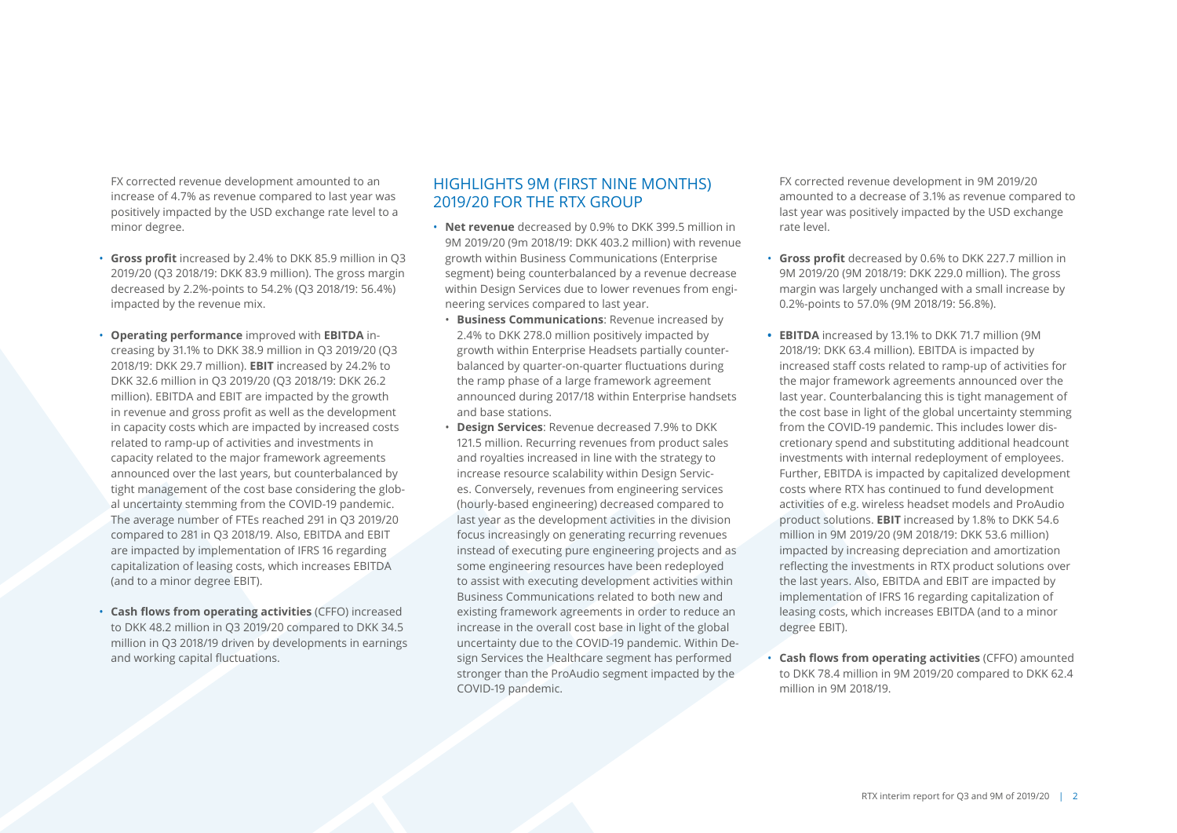FX corrected revenue development amounted to an increase of 4.7% as revenue compared to last year was positively impacted by the USD exchange rate level to a minor degree.

- **Gross profit** increased by 2.4% to DKK 85.9 million in Q3 2019/20 (Q3 2018/19: DKK 83.9 million). The gross margin decreased by 2.2%-points to 54.2% (Q3 2018/19: 56.4%) impacted by the revenue mix.
- **Operating performance** improved with **EBITDA** increasing by 31.1% to DKK 38.9 million in Q3 2019/20 (Q3 2018/19: DKK 29.7 million). **EBIT** increased by 24.2% to DKK 32.6 million in Q3 2019/20 (Q3 2018/19: DKK 26.2 million). EBITDA and EBIT are impacted by the growth in revenue and gross profit as well as the development in capacity costs which are impacted by increased costs related to ramp-up of activities and investments in capacity related to the major framework agreements announced over the last years, but counterbalanced by tight management of the cost base considering the global uncertainty stemming from the COVID-19 pandemic. The average number of FTEs reached 291 in Q3 2019/20 compared to 281 in Q3 2018/19. Also, EBITDA and EBIT are impacted by implementation of IFRS 16 regarding capitalization of leasing costs, which increases EBITDA (and to a minor degree EBIT).
- **Cash flows from operating activities** (CFFO) increased to DKK 48.2 million in Q3 2019/20 compared to DKK 34.5 million in Q3 2018/19 driven by developments in earnings and working capital fluctuations.

## HIGHLIGHTS 9M (FIRST NINE MONTHS) 2019/20 FOR THE RTX GROUP

- **Net revenue** decreased by 0.9% to DKK 399.5 million in 9M 2019/20 (9m 2018/19: DKK 403.2 million) with revenue growth within Business Communications (Enterprise segment) being counterbalanced by a revenue decrease within Design Services due to lower revenues from engineering services compared to last year.
- **Business Communications**: Revenue increased by 2.4% to DKK 278.0 million positively impacted by growth within Enterprise Headsets partially counterbalanced by quarter-on-quarter fluctuations during the ramp phase of a large framework agreement announced during 2017/18 within Enterprise handsets and base stations.
- **Design Services**: Revenue decreased 7.9% to DKK 121.5 million. Recurring revenues from product sales and royalties increased in line with the strategy to increase resource scalability within Design Services. Conversely, revenues from engineering services (hourly-based engineering) decreased compared to last year as the development activities in the division focus increasingly on generating recurring revenues instead of executing pure engineering projects and as some engineering resources have been redeployed to assist with executing development activities within Business Communications related to both new and existing framework agreements in order to reduce an increase in the overall cost base in light of the global uncertainty due to the COVID-19 pandemic. Within Design Services the Healthcare segment has performed stronger than the ProAudio segment impacted by the COVID-19 pandemic.

FX corrected revenue development in 9M 2019/20 amounted to a decrease of 3.1% as revenue compared to last year was positively impacted by the USD exchange rate level.

- **Gross profit** decreased by 0.6% to DKK 227.7 million in 9M 2019/20 (9M 2018/19: DKK 229.0 million). The gross margin was largely unchanged with a small increase by 0.2%-points to 57.0% (9M 2018/19: 56.8%).
- **• EBITDA** increased by 13.1% to DKK 71.7 million (9M 2018/19: DKK 63.4 million). EBITDA is impacted by increased staff costs related to ramp-up of activities for the major framework agreements announced over the last year. Counterbalancing this is tight management of the cost base in light of the global uncertainty stemming from the COVID-19 pandemic. This includes lower discretionary spend and substituting additional headcount investments with internal redeployment of employees. Further, EBITDA is impacted by capitalized development costs where RTX has continued to fund development activities of e.g. wireless headset models and ProAudio product solutions. **EBIT** increased by 1.8% to DKK 54.6 million in 9M 2019/20 (9M 2018/19: DKK 53.6 million) impacted by increasing depreciation and amortization reflecting the investments in RTX product solutions over the last years. Also, EBITDA and EBIT are impacted by implementation of IFRS 16 regarding capitalization of leasing costs, which increases EBITDA (and to a minor degree EBIT).
- **Cash flows from operating activities** (CFFO) amounted to DKK 78.4 million in 9M 2019/20 compared to DKK 62.4 million in 9M 2018/19.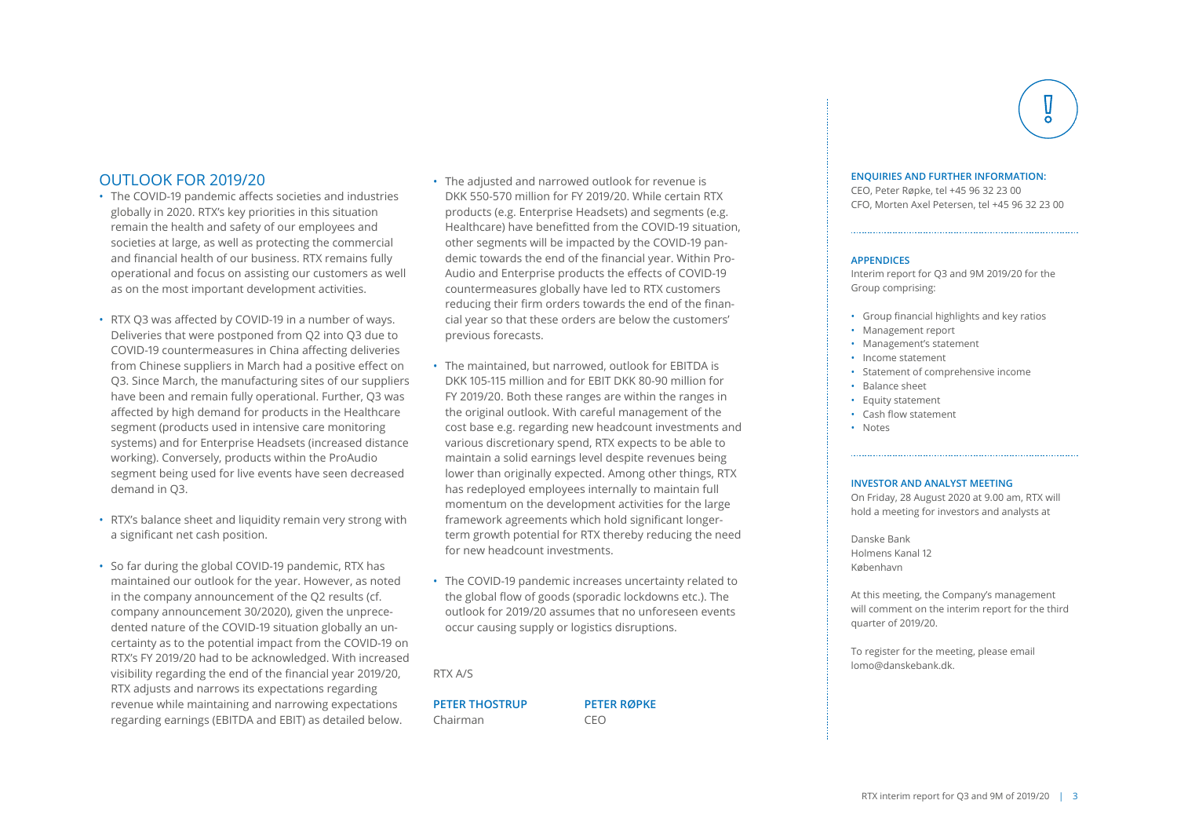### OUTLOOK FOR 2019/20

- The COVID-19 pandemic affects societies and industries globally in 2020. RTX's key priorities in this situation remain the health and safety of our employees and societies at large, as well as protecting the commercial and financial health of our business. RTX remains fully operational and focus on assisting our customers as well as on the most important development activities.
- RTX Q3 was affected by COVID-19 in a number of ways. Deliveries that were postponed from Q2 into Q3 due to COVID-19 countermeasures in China affecting deliveries from Chinese suppliers in March had a positive effect on Q3. Since March, the manufacturing sites of our suppliers have been and remain fully operational. Further, Q3 was affected by high demand for products in the Healthcare segment (products used in intensive care monitoring systems) and for Enterprise Headsets (increased distance working). Conversely, products within the ProAudio segment being used for live events have seen decreased demand in Q3.
- RTX's balance sheet and liquidity remain very strong with a significant net cash position.
- So far during the global COVID-19 pandemic, RTX has maintained our outlook for the year. However, as noted in the company announcement of the Q2 results (cf. company announcement 30/2020), given the unprecedented nature of the COVID-19 situation globally an uncertainty as to the potential impact from the COVID-19 on RTX's FY 2019/20 had to be acknowledged. With increased visibility regarding the end of the financial year 2019/20, RTX adjusts and narrows its expectations regarding revenue while maintaining and narrowing expectations regarding earnings (EBITDA and EBIT) as detailed below.
- The adjusted and narrowed outlook for revenue is DKK 550-570 million for FY 2019/20. While certain RTX products (e.g. Enterprise Headsets) and segments (e.g. Healthcare) have benefitted from the COVID-19 situation, other segments will be impacted by the COVID-19 pandemic towards the end of the financial year. Within Pro-Audio and Enterprise products the effects of COVID-19 countermeasures globally have led to RTX customers reducing their firm orders towards the end of the financial year so that these orders are below the customers' previous forecasts.
- The maintained, but narrowed, outlook for EBITDA is DKK 105-115 million and for EBIT DKK 80-90 million for FY 2019/20. Both these ranges are within the ranges in the original outlook. With careful management of the cost base e.g. regarding new headcount investments and various discretionary spend, RTX expects to be able to maintain a solid earnings level despite revenues being lower than originally expected. Among other things, RTX has redeployed employees internally to maintain full momentum on the development activities for the large framework agreements which hold significant longerterm growth potential for RTX thereby reducing the need for new headcount investments.
- The COVID-19 pandemic increases uncertainty related to the global flow of goods (sporadic lockdowns etc.). The outlook for 2019/20 assumes that no unforeseen events occur causing supply or logistics disruptions.

RTX A/S

**PETER THOSTRUP PETER RØPKE** Chairman CEO

### **ENQUIRIES AND FURTHER INFORMATION:**

CEO, Peter Røpke, tel +45 96 32 23 00 CFO, Morten Axel Petersen, tel +45 96 32 23 00

### **APPENDICES**

Interim report for Q3 and 9M 2019/20 for the Group comprising:

- Group financial highlights and key ratios
- Management report
- Management's statement
- Income statement
- Statement of comprehensive income
- Balance sheet
- Equity statement
- Cash flow statement
- Notes

#### **INVESTOR AND ANALYST MEETING**

On Friday, 28 August 2020 at 9.00 am, RTX will hold a meeting for investors and analysts at

Danske Bank Holmens Kanal 12 København

At this meeting, the Company's management will comment on the interim report for the third quarter of 2019/20.

To register for the meeting, please email lomo@danskebank.dk.

RTX interim report for Q3 and 9M of 2019/20 | 3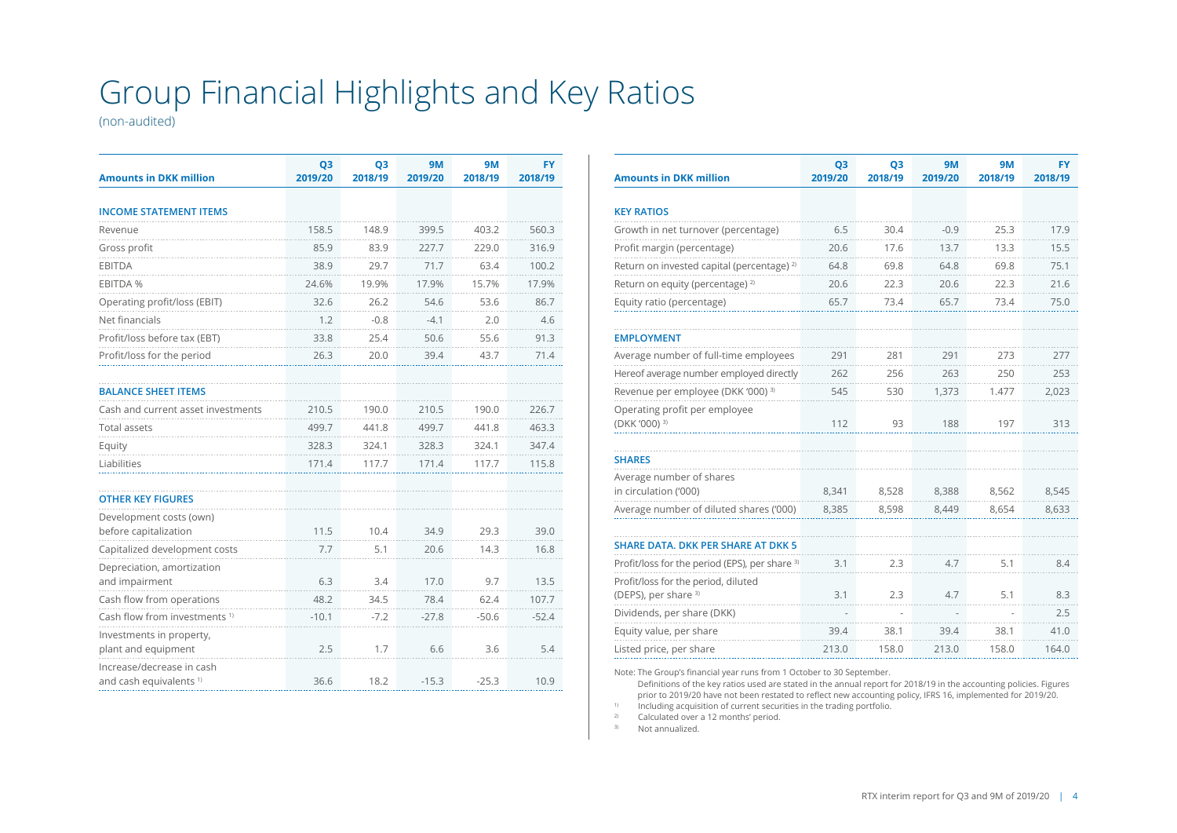# Group Financial Highlights and Key Ratios

(non-audited)

| <b>Amounts in DKK million</b>                                   | Q <sub>3</sub><br>2019/20 | Q <sub>3</sub><br>2018/19 | <b>9M</b><br>2019/20 | <b>9M</b><br>2018/19 | <b>FY</b><br>2018/19 |
|-----------------------------------------------------------------|---------------------------|---------------------------|----------------------|----------------------|----------------------|
| <b>INCOME STATEMENT ITEMS</b>                                   |                           |                           |                      |                      |                      |
|                                                                 |                           |                           |                      |                      |                      |
| Revenue                                                         | 158.5                     | 148.9                     | 399.5                | 403.2                | 560.3                |
| Gross profit                                                    | 85.9                      | 83.9                      | 227.7                | 229.0                | 316.9                |
| <b>EBITDA</b>                                                   | 38.9                      | 29.7                      | 71.7                 | 63.4                 | 100.2                |
| <b>EBITDA %</b>                                                 | 24.6%                     | 19.9%                     | 17.9%                | 15.7%                | 17.9%                |
| Operating profit/loss (EBIT)                                    | 32.6                      | 26.2                      | 54.6                 | 53.6                 | 86.7                 |
| Net financials                                                  | 1.2                       | $-0.8$                    | $-4.1$               | 2.0                  | 4.6                  |
| Profit/loss before tax (EBT)                                    | 33.8                      | 25.4                      | 50.6                 | 55.6                 | 91.3                 |
| Profit/loss for the period                                      | 26.3                      | 20.0                      | 39.4                 | 43.7                 | 71.4                 |
|                                                                 |                           |                           |                      |                      |                      |
| <b>BALANCE SHEET ITEMS</b>                                      |                           |                           |                      |                      |                      |
| Cash and current asset investments                              | 210.5                     | 190.0                     | 210.5                | 190.0                | 226.7                |
| <b>Total assets</b>                                             | 499.7                     | 441.8                     | 499.7                | 441.8                | 463.3                |
| Equity                                                          | 328.3                     | 324.1                     | 328.3                | 324.1                | 347.4                |
| Liabilities                                                     | 171.4                     | 117.7                     | 171.4                | 117.7                | 115.8                |
|                                                                 |                           |                           |                      |                      |                      |
| <b>OTHER KEY FIGURES</b>                                        |                           |                           |                      |                      |                      |
| Development costs (own)                                         |                           |                           |                      |                      |                      |
| before capitalization                                           | 11.5                      | 10.4                      | 34.9                 | 29.3                 | 39.0                 |
| Capitalized development costs                                   | 7.7                       | 5.1                       | 20.6                 | 14.3                 | 16.8                 |
| Depreciation, amortization                                      |                           |                           |                      | 9.7                  |                      |
| and impairment                                                  | 6.3                       | 3.4                       | 17.0                 |                      | 13.5                 |
| Cash flow from operations                                       | 48.2                      | 34.5                      | 78.4                 | 62.4                 | 107.7                |
| Cash flow from investments <sup>1)</sup>                        | $-10.1$                   | $-7.2$                    | $-27.8$              | $-50.6$              | $-52.4$              |
| Investments in property,<br>plant and equipment                 | 2.5                       | 1.7                       | 6.6                  | 3.6                  | 5.4                  |
| Increase/decrease in cash<br>and cash equivalents <sup>1)</sup> | 36.6                      | 18.2                      | $-15.3$              | $-25.3$              | 10.9                 |

| <b>Amounts in DKK million</b>                             | Q <sub>3</sub><br>2019/20 | Q <sub>3</sub><br>2018/19 | <b>9M</b><br>2019/20 | <b>9M</b><br>2018/19 | FY<br>2018/19 |
|-----------------------------------------------------------|---------------------------|---------------------------|----------------------|----------------------|---------------|
|                                                           |                           |                           |                      |                      |               |
| <b>KEY RATIOS</b>                                         |                           |                           |                      |                      |               |
| Growth in net turnover (percentage)                       | 6.5                       | 30.4                      | $-0.9$               | 25.3                 | 17.9          |
| Profit margin (percentage)                                | 20.6                      | 17.6                      | 13.7                 | 13.3                 | 15.5          |
| Return on invested capital (percentage) <sup>2)</sup>     | 64.8                      | 69.8                      | 64.8                 | 69.8                 | 75.1          |
| Return on equity (percentage) <sup>2)</sup>               | 20.6                      | 22.3                      | 20.6                 | 22.3                 | 21.6          |
| Equity ratio (percentage)                                 | 65.7                      | 73.4                      | 65.7                 | 73.4                 | 75.0          |
| <b>EMPLOYMENT</b>                                         |                           |                           |                      |                      |               |
| Average number of full-time employees                     | 291                       | 281                       | 291                  | 273                  | 277           |
| Hereof average number employed directly                   | 262                       | 256                       | 263                  | 250                  | 253           |
| Revenue per employee (DKK '000) <sup>3)</sup>             | 545                       | 530                       | 1,373                | 1.477                | 2,023         |
| Operating profit per employee                             |                           |                           |                      |                      |               |
| (DKK '000) 3)                                             | 112                       | 93                        | 188                  | 197                  | 313           |
|                                                           |                           |                           |                      |                      |               |
| <b>SHARES</b>                                             |                           |                           |                      |                      |               |
| Average number of shares<br>in circulation ('000)         | 8,341                     | 8,528                     | 8,388                | 8,562                | 8,545         |
| Average number of diluted shares ('000)                   | 8,385                     | 8,598                     | 8,449                | 8,654                | 8,633         |
|                                                           |                           |                           |                      |                      |               |
| <b>SHARE DATA, DKK PER SHARE AT DKK 5</b>                 |                           |                           |                      |                      |               |
| Profit/loss for the period (EPS), per share <sup>3)</sup> | 3.1                       | 2.3                       | 4.7                  | 5.1                  | 8.4           |
| Profit/loss for the period, diluted                       |                           |                           |                      |                      |               |
| (DEPS), per share 3)                                      | 3.1                       | 2.3                       | 4.7                  | 5.1                  | 8.3           |
| Dividends, per share (DKK)                                |                           |                           |                      |                      | 2.5           |
| Equity value, per share                                   | 39.4                      | 38.1                      | 39.4                 | 38.1                 | 41.0          |
| Listed price, per share                                   | 213.0                     | 158.0                     | 213.0                | 158.0                | 164.0         |

Note: The Group's financial year runs from 1 October to 30 September.

Definitions of the key ratios used are stated in the annual report for 2018/19 in the accounting policies. Figures prior to 2019/20 have not been restated to reflect new accounting policy, IFRS 16, implemented for 2019/20.

 $\frac{1}{2}$  Including acquisition of current securities in the trading portfolio.

Calculated over a 12 months' period.

3) Not annualized.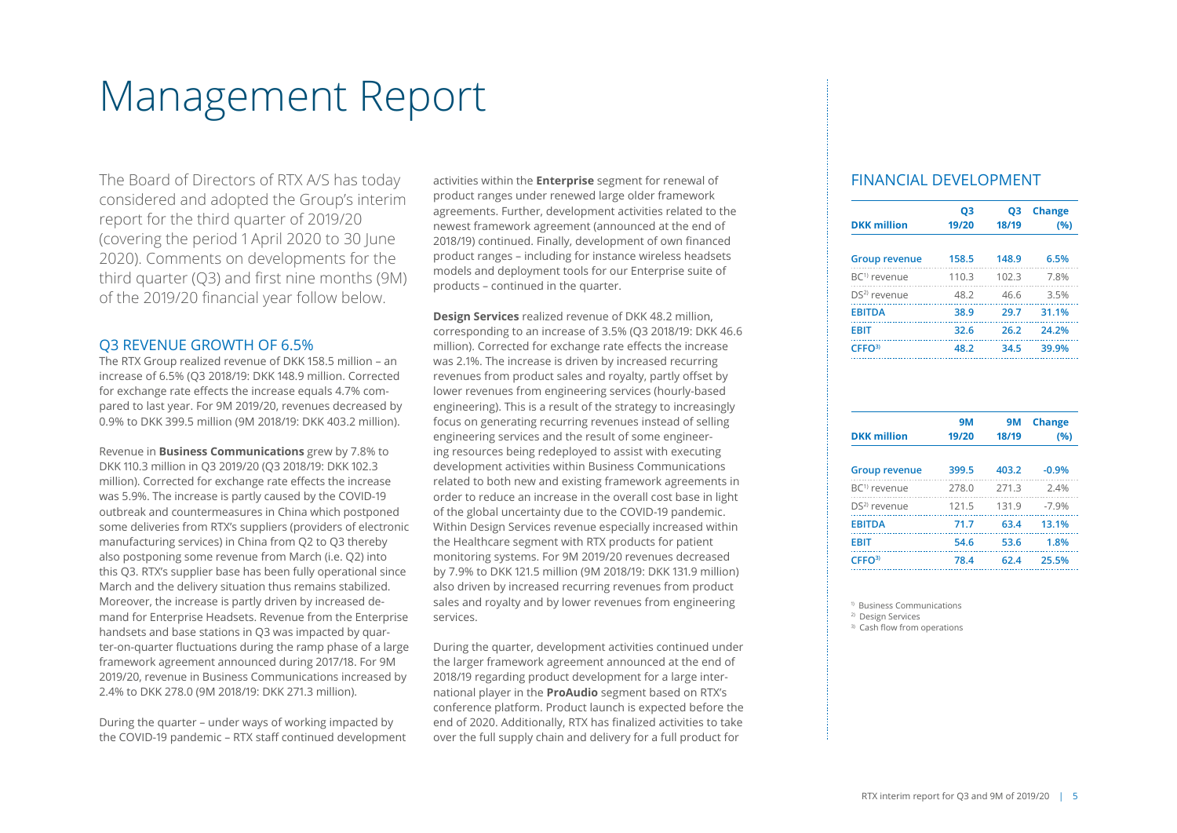# Management Report

The Board of Directors of RTX A/S has today considered and adopted the Group's interim report for the third quarter of 2019/20 (covering the period 1 April 2020 to 30 June 2020). Comments on developments for the third quarter (Q3) and first nine months (9M) of the 2019/20 financial year follow below.

### Q3 REVENUE GROWTH OF 6.5%

The RTX Group realized revenue of DKK 158.5 million – an increase of 6.5% (Q3 2018/19: DKK 148.9 million. Corrected for exchange rate effects the increase equals 4.7% compared to last year. For 9M 2019/20, revenues decreased by 0.9% to DKK 399.5 million (9M 2018/19: DKK 403.2 million).

Revenue in **Business Communications** grew by 7.8% to DKK 110.3 million in Q3 2019/20 (Q3 2018/19: DKK 102.3 million). Corrected for exchange rate effects the increase was 5.9%. The increase is partly caused by the COVID-19 outbreak and countermeasures in China which postponed some deliveries from RTX's suppliers (providers of electronic manufacturing services) in China from Q2 to Q3 thereby also postponing some revenue from March (i.e. Q2) into this Q3. RTX's supplier base has been fully operational since March and the delivery situation thus remains stabilized. Moreover, the increase is partly driven by increased demand for Enterprise Headsets. Revenue from the Enterprise handsets and base stations in Q3 was impacted by quarter-on-quarter fluctuations during the ramp phase of a large framework agreement announced during 2017/18. For 9M 2019/20, revenue in Business Communications increased by 2.4% to DKK 278.0 (9M 2018/19: DKK 271.3 million).

During the quarter – under ways of working impacted by the COVID-19 pandemic – RTX staff continued development activities within the **Enterprise** segment for renewal of product ranges under renewed large older framework agreements. Further, development activities related to the newest framework agreement (announced at the end of 2018/19) continued. Finally, development of own financed product ranges – including for instance wireless headsets models and deployment tools for our Enterprise suite of products – continued in the quarter.

**Design Services** realized revenue of DKK 48.2 million, corresponding to an increase of 3.5% (Q3 2018/19: DKK 46.6 million). Corrected for exchange rate effects the increase was 2.1%. The increase is driven by increased recurring revenues from product sales and royalty, partly offset by lower revenues from engineering services (hourly-based engineering). This is a result of the strategy to increasingly focus on generating recurring revenues instead of selling engineering services and the result of some engineering resources being redeployed to assist with executing development activities within Business Communications related to both new and existing framework agreements in order to reduce an increase in the overall cost base in light of the global uncertainty due to the COVID-19 pandemic. Within Design Services revenue especially increased within the Healthcare segment with RTX products for patient monitoring systems. For 9M 2019/20 revenues decreased by 7.9% to DKK 121.5 million (9M 2018/19: DKK 131.9 million) also driven by increased recurring revenues from product sales and royalty and by lower revenues from engineering services.

During the quarter, development activities continued under the larger framework agreement announced at the end of 2018/19 regarding product development for a large international player in the **ProAudio** segment based on RTX's conference platform. Product launch is expected before the end of 2020. Additionally, RTX has finalized activities to take over the full supply chain and delivery for a full product for

### FINANCIAL DEVELOPMENT

| <b>DKK million</b>       | Q3<br>19/20 | Q3<br>18/19 | <b>Change</b><br>(96) |
|--------------------------|-------------|-------------|-----------------------|
| <b>Group revenue</b>     | 158.5       | 148.9       | 6.5%                  |
| $BC1$ revenue            | 110.3       | 102.3       | 7.8%                  |
| DS <sup>2)</sup> revenue | 48.2        | 46.6        | 3.5%                  |
| <b>FRITDA</b>            | 38.9        | 29.7        | 31.1%                 |
| <b>FRIT</b>              | 32.6        | 26.2        | 24.2%                 |
| CFFO <sup>3</sup>        | 48.2        | 34.5        | 39.9%                 |

| <b>DKK</b> million       | <b>9M</b><br>19/20 | 9M<br>18/19 | <b>Change</b><br>(96) |
|--------------------------|--------------------|-------------|-----------------------|
| <b>Group revenue</b>     | 399.5              | 403.2       | $-0.9%$               |
| $BC1$ revenue            | 278.0              | 271.3       | 2.4%                  |
| DS <sup>2)</sup> revenue | 121.5              | 131.9       | $-7.9%$               |
| <b>EBITDA</b>            | 71.7               | 63.4        | 13.1%                 |
| <b>EBIT</b>              | 54.6               | 53.6        | 1.8%                  |
| CFFO <sup>3</sup>        | 78.4               | 62.4        | 25.5%                 |
|                          |                    |             |                       |

1) Business Communications

2) Design Services

3) Cash flow from operations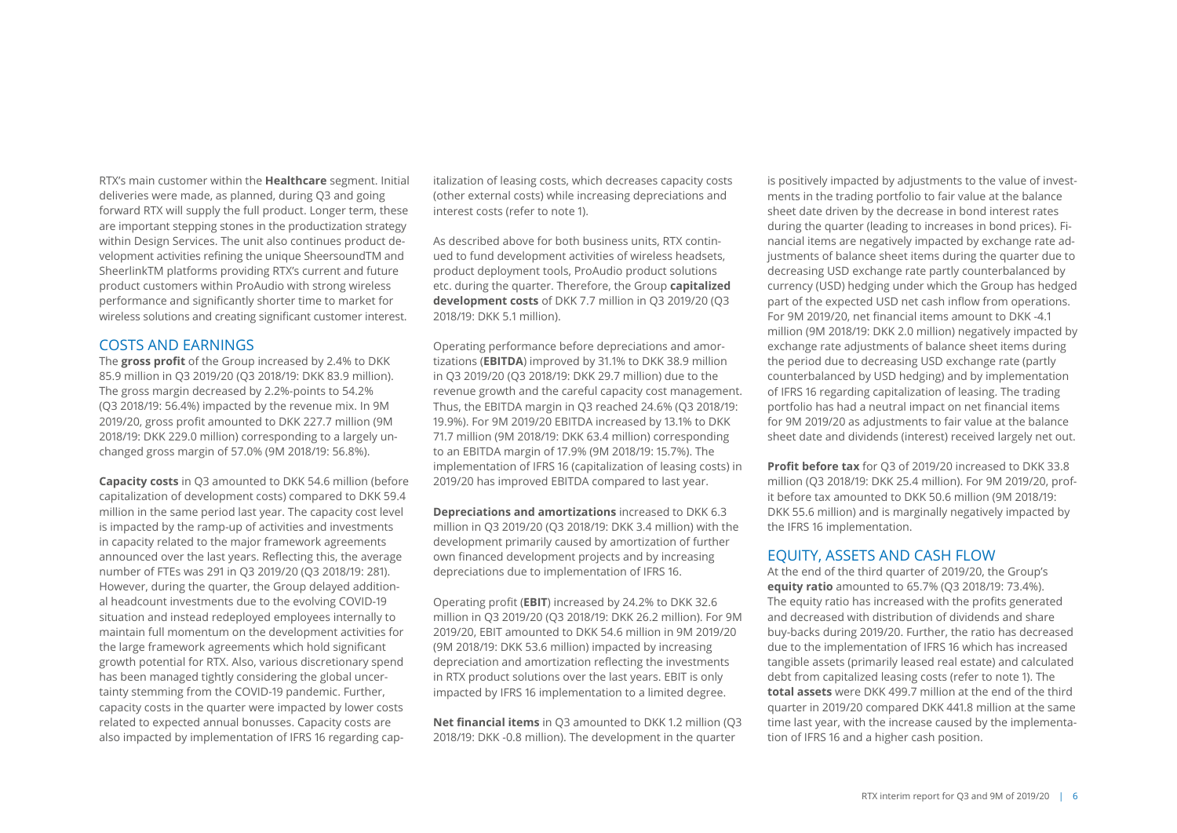RTX's main customer within the **Healthcare** segment. Initial deliveries were made, as planned, during Q3 and going forward RTX will supply the full product. Longer term, these are important stepping stones in the productization strategy within Design Services. The unit also continues product development activities refining the unique SheersoundTM and SheerlinkTM platforms providing RTX's current and future product customers within ProAudio with strong wireless performance and significantly shorter time to market for wireless solutions and creating significant customer interest.

### COSTS AND EARNINGS

The **gross profit** of the Group increased by 2.4% to DKK 85.9 million in Q3 2019/20 (Q3 2018/19: DKK 83.9 million). The gross margin decreased by 2.2%-points to 54.2% (Q3 2018/19: 56.4%) impacted by the revenue mix. In 9M 2019/20, gross profit amounted to DKK 227.7 million (9M 2018/19: DKK 229.0 million) corresponding to a largely unchanged gross margin of 57.0% (9M 2018/19: 56.8%).

**Capacity costs** in Q3 amounted to DKK 54.6 million (before capitalization of development costs) compared to DKK 59.4 million in the same period last year. The capacity cost level is impacted by the ramp-up of activities and investments in capacity related to the major framework agreements announced over the last years. Reflecting this, the average number of FTEs was 291 in Q3 2019/20 (Q3 2018/19: 281). However, during the quarter, the Group delayed additional headcount investments due to the evolving COVID-19 situation and instead redeployed employees internally to maintain full momentum on the development activities for the large framework agreements which hold significant growth potential for RTX. Also, various discretionary spend has been managed tightly considering the global uncertainty stemming from the COVID-19 pandemic. Further, capacity costs in the quarter were impacted by lower costs related to expected annual bonusses. Capacity costs are also impacted by implementation of IFRS 16 regarding cap-

italization of leasing costs, which decreases capacity costs (other external costs) while increasing depreciations and interest costs (refer to note 1).

As described above for both business units, RTX continued to fund development activities of wireless headsets, product deployment tools, ProAudio product solutions etc. during the quarter. Therefore, the Group **capitalized development costs** of DKK 7.7 million in Q3 2019/20 (Q3 2018/19: DKK 5.1 million).

Operating performance before depreciations and amortizations (**EBITDA**) improved by 31.1% to DKK 38.9 million in Q3 2019/20 (Q3 2018/19: DKK 29.7 million) due to the revenue growth and the careful capacity cost management. Thus, the EBITDA margin in Q3 reached 24.6% (Q3 2018/19: 19.9%). For 9M 2019/20 EBITDA increased by 13.1% to DKK 71.7 million (9M 2018/19: DKK 63.4 million) corresponding to an EBITDA margin of 17.9% (9M 2018/19: 15.7%). The implementation of IFRS 16 (capitalization of leasing costs) in 2019/20 has improved EBITDA compared to last year.

**Depreciations and amortizations** increased to DKK 6.3 million in Q3 2019/20 (Q3 2018/19: DKK 3.4 million) with the development primarily caused by amortization of further own financed development projects and by increasing depreciations due to implementation of IFRS 16.

Operating profit (**EBIT**) increased by 24.2% to DKK 32.6 million in Q3 2019/20 (Q3 2018/19: DKK 26.2 million). For 9M 2019/20, EBIT amounted to DKK 54.6 million in 9M 2019/20 (9M 2018/19: DKK 53.6 million) impacted by increasing depreciation and amortization reflecting the investments in RTX product solutions over the last years. EBIT is only impacted by IFRS 16 implementation to a limited degree.

**Net financial items** in Q3 amounted to DKK 1.2 million (Q3 2018/19: DKK -0.8 million). The development in the quarter

is positively impacted by adjustments to the value of investments in the trading portfolio to fair value at the balance sheet date driven by the decrease in bond interest rates during the quarter (leading to increases in bond prices). Financial items are negatively impacted by exchange rate adjustments of balance sheet items during the quarter due to decreasing USD exchange rate partly counterbalanced by currency (USD) hedging under which the Group has hedged part of the expected USD net cash inflow from operations. For 9M 2019/20, net financial items amount to DKK -4.1 million (9M 2018/19: DKK 2.0 million) negatively impacted by exchange rate adjustments of balance sheet items during the period due to decreasing USD exchange rate (partly counterbalanced by USD hedging) and by implementation of IFRS 16 regarding capitalization of leasing. The trading portfolio has had a neutral impact on net financial items for 9M 2019/20 as adjustments to fair value at the balance sheet date and dividends (interest) received largely net out.

**Profit before tax** for Q3 of 2019/20 increased to DKK 33.8 million (Q3 2018/19: DKK 25.4 million). For 9M 2019/20, profit before tax amounted to DKK 50.6 million (9M 2018/19: DKK 55.6 million) and is marginally negatively impacted by the IFRS 16 implementation.

### EQUITY, ASSETS AND CASH FLOW

At the end of the third quarter of 2019/20, the Group's **equity ratio** amounted to 65.7% (Q3 2018/19: 73.4%). The equity ratio has increased with the profits generated and decreased with distribution of dividends and share buy-backs during 2019/20. Further, the ratio has decreased due to the implementation of IFRS 16 which has increased tangible assets (primarily leased real estate) and calculated debt from capitalized leasing costs (refer to note 1). The **total assets** were DKK 499.7 million at the end of the third quarter in 2019/20 compared DKK 441.8 million at the same time last year, with the increase caused by the implementation of IFRS 16 and a higher cash position.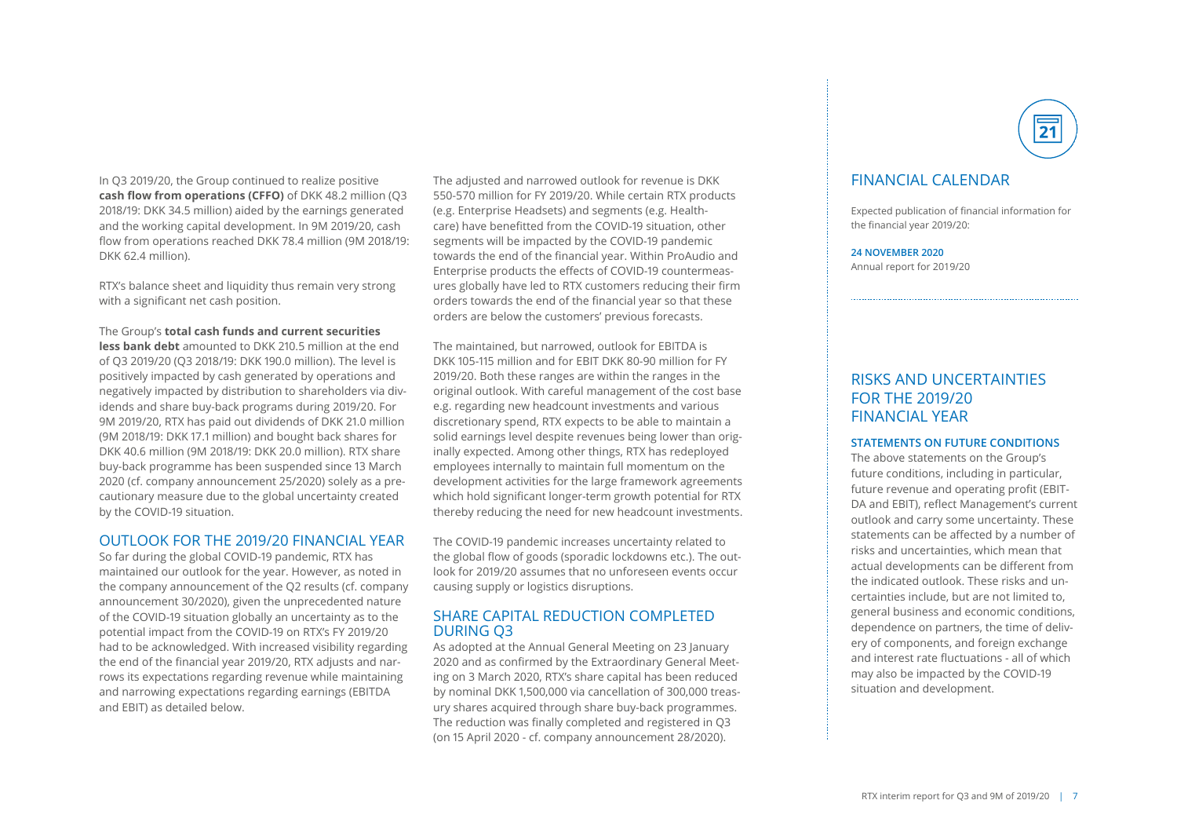In Q3 2019/20, the Group continued to realize positive **cash flow from operations (CFFO)** of DKK 48.2 million (Q3 2018/19: DKK 34.5 million) aided by the earnings generated and the working capital development. In 9M 2019/20, cash flow from operations reached DKK 78.4 million (9M 2018/19: DKK 62.4 million).

RTX's balance sheet and liquidity thus remain very strong with a significant net cash position.

### The Group's **total cash funds and current securities**

**less bank debt** amounted to DKK 210.5 million at the end of Q3 2019/20 (Q3 2018/19: DKK 190.0 million). The level is positively impacted by cash generated by operations and negatively impacted by distribution to shareholders via dividends and share buy-back programs during 2019/20. For 9M 2019/20, RTX has paid out dividends of DKK 21.0 million (9M 2018/19: DKK 17.1 million) and bought back shares for DKK 40.6 million (9M 2018/19: DKK 20.0 million). RTX share buy-back programme has been suspended since 13 March 2020 (cf. company announcement 25/2020) solely as a precautionary measure due to the global uncertainty created by the COVID-19 situation.

### OUTLOOK FOR THE 2019/20 FINANCIAL YEAR

So far during the global COVID-19 pandemic, RTX has maintained our outlook for the year. However, as noted in the company announcement of the Q2 results (cf. company announcement 30/2020), given the unprecedented nature of the COVID-19 situation globally an uncertainty as to the potential impact from the COVID-19 on RTX's FY 2019/20 had to be acknowledged. With increased visibility regarding the end of the financial year 2019/20, RTX adjusts and narrows its expectations regarding revenue while maintaining and narrowing expectations regarding earnings (EBITDA and EBIT) as detailed below.

The adjusted and narrowed outlook for revenue is DKK 550-570 million for FY 2019/20. While certain RTX products (e.g. Enterprise Headsets) and segments (e.g. Healthcare) have benefitted from the COVID-19 situation, other segments will be impacted by the COVID-19 pandemic towards the end of the financial year. Within ProAudio and Enterprise products the effects of COVID-19 countermeasures globally have led to RTX customers reducing their firm orders towards the end of the financial year so that these orders are below the customers' previous forecasts.

The maintained, but narrowed, outlook for EBITDA is DKK 105-115 million and for EBIT DKK 80-90 million for FY 2019/20. Both these ranges are within the ranges in the original outlook. With careful management of the cost base e.g. regarding new headcount investments and various discretionary spend, RTX expects to be able to maintain a solid earnings level despite revenues being lower than originally expected. Among other things, RTX has redeployed employees internally to maintain full momentum on the development activities for the large framework agreements which hold significant longer-term growth potential for RTX thereby reducing the need for new headcount investments.

The COVID-19 pandemic increases uncertainty related to the global flow of goods (sporadic lockdowns etc.). The outlook for 2019/20 assumes that no unforeseen events occur causing supply or logistics disruptions.

### SHARE CAPITAL REDUCTION COMPLETED DURING 03

As adopted at the Annual General Meeting on 23 January 2020 and as confirmed by the Extraordinary General Meeting on 3 March 2020, RTX's share capital has been reduced by nominal DKK 1,500,000 via cancellation of 300,000 treasury shares acquired through share buy-back programmes. The reduction was finally completed and registered in Q3 (on 15 April 2020 - cf. company announcement 28/2020).



## FINANCIAL CALENDAR

Expected publication of financial information for the financial year 2019/20:

**24 NOVEMBER 2020** Annual report for 2019/20

## RISKS AND UNCERTAINTIES FOR THE 2019/20 FINANCIAL YEAR

### **STATEMENTS ON FUTURE CONDITIONS**

The above statements on the Group's future conditions, including in particular, future revenue and operating profit (EBIT-DA and EBIT), reflect Management's current outlook and carry some uncertainty. These statements can be affected by a number of risks and uncertainties, which mean that actual developments can be different from the indicated outlook. These risks and uncertainties include, but are not limited to, general business and economic conditions, dependence on partners, the time of delivery of components, and foreign exchange and interest rate fluctuations - all of which may also be impacted by the COVID-19 situation and development.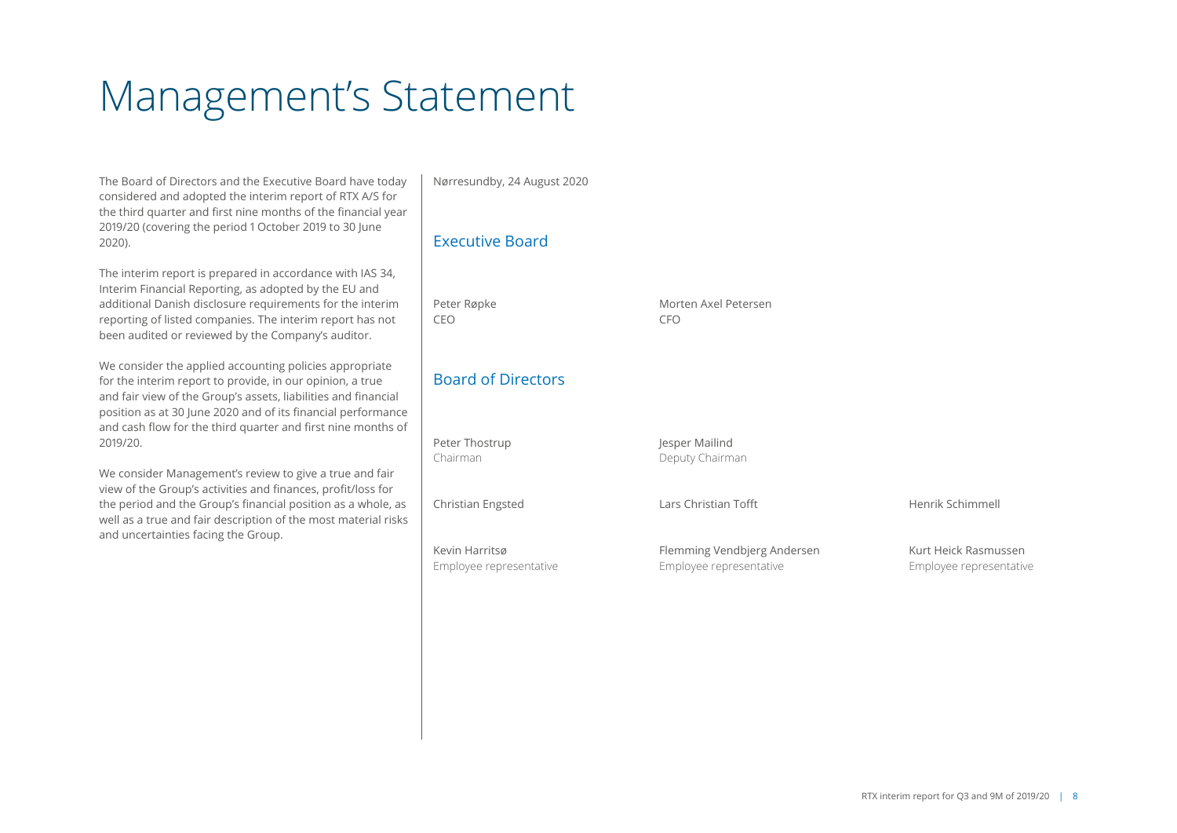# Management's Statement

The Board of Directors and the Executive Board have today considered and adopted the interim report of RTX A/S for the third quarter and first nine months of the financial year 2019/20 (covering the period 1 October 2019 to 30 June 2020).

The interim report is prepared in accordance with IAS 34, Interim Financial Reporting, as adopted by the EU and additional Danish disclosure requirements for the interim reporting of listed companies. The interim report has not been audited or reviewed by the Company's auditor.

We consider the applied accounting policies appropriate for the interim report to provide, in our opinion, a true and fair view of the Group's assets, liabilities and financial position as at 30 June 2020 and of its financial performance and cash flow for the third quarter and first nine months of 2019/20.

We consider Management's review to give a true and fair view of the Group's activities and finances, profit/loss for the period and the Group's financial position as a whole, as well as a true and fair description of the most material risks and uncertainties facing the Group.

Nørresundby, 24 August 2020

## Executive Board

CEO CFO

# Board of Directors

Peter Thostrup **Jesper Mailind** Chairman Deputy Chairman Christian Engsted Lars Christian Tofft Henrik Schimmell

Peter Røpke Morten Axel Petersen

Kevin Harritsø **Flemming Vendbjerg Andersen** Kurt Heick Rasmussen Employee representative Employee representative Employee representative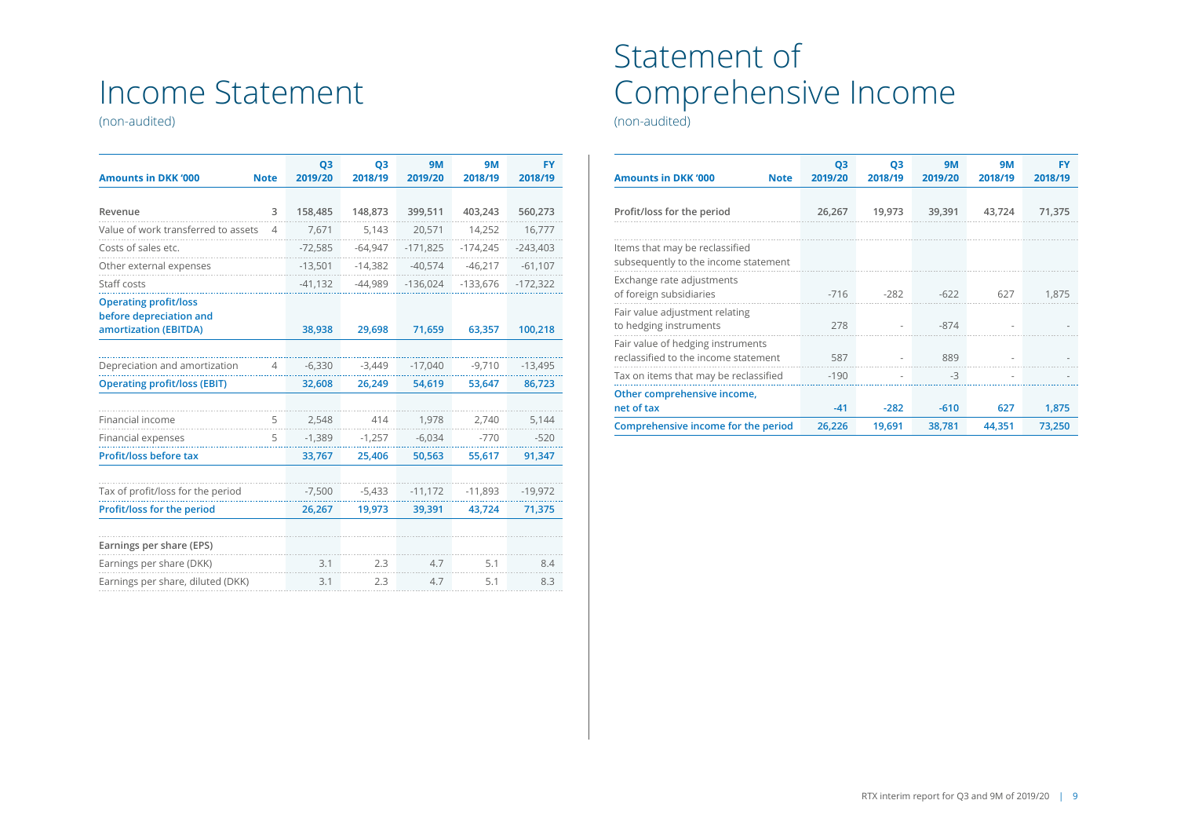# Income Statement

(non-audited)

| <b>Amounts in DKK '000</b>                                                       | <b>Note</b> | Q <sub>3</sub><br>2019/20 | Q <sub>3</sub><br>2018/19 | <b>9M</b><br>2019/20 | <b>9M</b><br>2018/19 | <b>FY</b><br>2018/19 |
|----------------------------------------------------------------------------------|-------------|---------------------------|---------------------------|----------------------|----------------------|----------------------|
|                                                                                  |             |                           |                           |                      |                      |                      |
| Revenue                                                                          | 3           | 158,485                   | 148,873                   | 399,511              | 403,243              | 560,273              |
| Value of work transferred to assets                                              | 4           | 7,671                     | 5,143                     | 20,571               | 14,252               | 16,777               |
| Costs of sales etc.                                                              |             | $-72,585$                 | $-64,947$                 | $-171,825$           | $-174,245$           | $-243,403$           |
| Other external expenses                                                          |             | $-13,501$                 | $-14,382$                 | $-40,574$            | $-46,217$            | $-61,107$            |
| Staff costs                                                                      |             | $-41,132$                 | $-44,989$                 | $-136,024$           | $-133,676$           | $-172,322$           |
| <b>Operating profit/loss</b><br>before depreciation and<br>amortization (EBITDA) |             | 38,938                    | 29,698                    | 71,659               | 63,357               | 100,218              |
|                                                                                  |             |                           |                           |                      |                      |                      |
| Depreciation and amortization                                                    | 4           | $-6,330$                  | $-3,449$                  | $-17,040$            | $-9,710$             | $-13,495$            |
| <b>Operating profit/loss (EBIT)</b>                                              |             | 32,608                    | 26,249                    | 54,619               | 53,647               | 86,723               |
|                                                                                  |             |                           |                           |                      |                      |                      |
| Financial income                                                                 | 5           | 2,548                     | 414                       | 1,978                | 2,740                | 5,144                |
| Financial expenses                                                               | 5           | $-1,389$                  | $-1,257$                  | $-6,034$             | $-770$               | $-520$               |
| Profit/loss before tax                                                           |             | 33,767                    | 25,406                    | 50,563               | 55,617               | 91,347               |
|                                                                                  |             |                           |                           |                      |                      |                      |
| Tax of profit/loss for the period                                                |             | $-7,500$                  | $-5,433$                  | $-11,172$            | $-11,893$            | $-19,972$            |
| Profit/loss for the period                                                       |             | 26,267                    | 19,973                    | 39,391               | 43,724               | 71,375               |
|                                                                                  |             |                           |                           |                      |                      |                      |
| Earnings per share (EPS)                                                         |             |                           |                           |                      |                      |                      |
| Earnings per share (DKK)                                                         |             | 3.1                       | 2.3                       | 4.7                  | 5.1                  | 8.4                  |
| Earnings per share, diluted (DKK)                                                |             | 3.1                       | 2.3                       | 4.7                  | 5.1                  | 8.3                  |

# Statement of Comprehensive Income

(non-audited)

| <b>Amounts in DKK '000</b><br><b>Note</b>                                 | Q <sub>3</sub><br>2019/20 | Q <sub>3</sub><br>2018/19 | <b>9M</b><br>2019/20 | <b>9M</b><br>2018/19 | FY<br>2018/19 |
|---------------------------------------------------------------------------|---------------------------|---------------------------|----------------------|----------------------|---------------|
| Profit/loss for the period                                                | 26,267                    | 19,973                    | 39,391               | 43,724               | 71,375        |
|                                                                           |                           |                           |                      |                      |               |
| Items that may be reclassified<br>subsequently to the income statement    |                           |                           |                      |                      |               |
| Exchange rate adjustments<br>of foreign subsidiaries                      | $-716$                    | $-282$                    | $-622$               | 627                  | 1.875         |
| Fair value adjustment relating<br>to hedging instruments                  | 278                       |                           | $-874$               |                      |               |
| Fair value of hedging instruments<br>reclassified to the income statement | 587                       |                           | 889                  |                      |               |
| Tax on items that may be reclassified                                     | $-190$                    |                           | $-3$                 |                      |               |
| Other comprehensive income,                                               |                           |                           |                      |                      |               |
| net of tax                                                                | $-41$                     | $-282$                    | $-610$               | 627                  | 1,875         |
| Comprehensive income for the period                                       | 26,226                    | 19,691                    | 38,781               | 44,351               | 73,250        |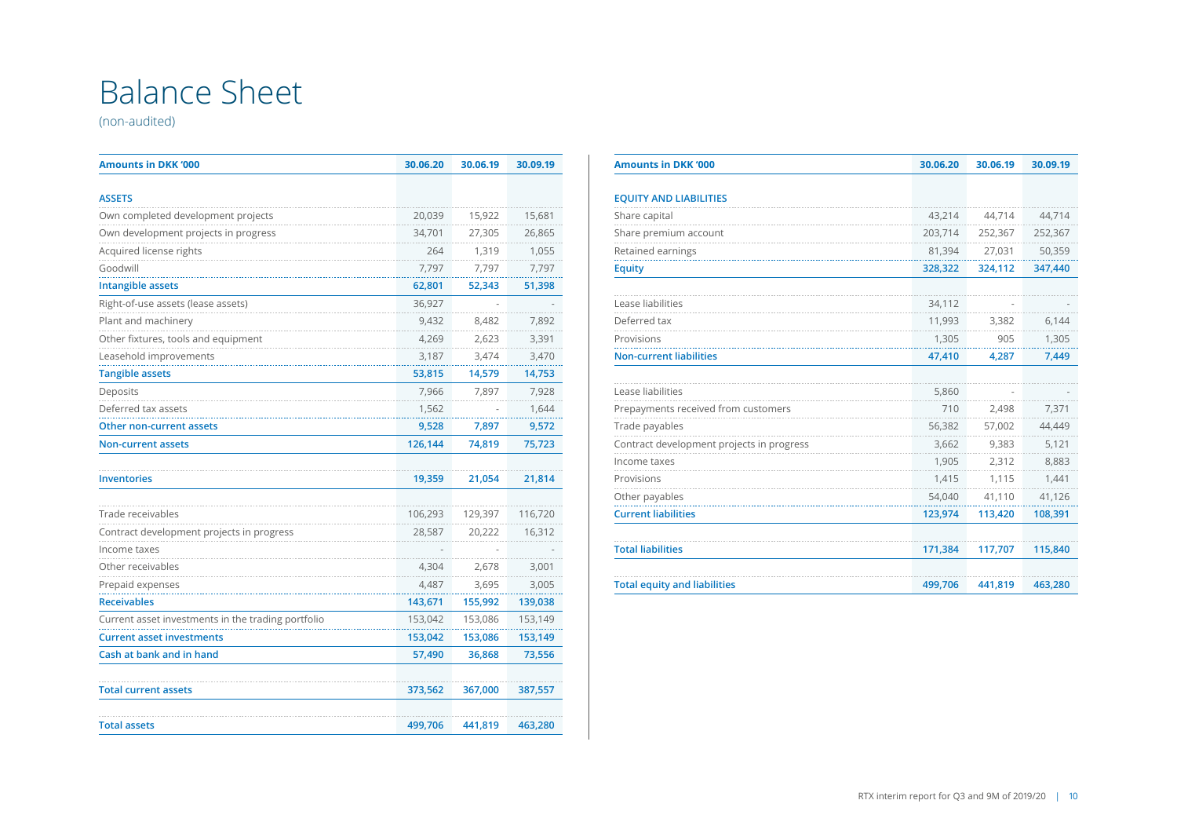# Balance Sheet

(non-audited)

| <b>Amounts in DKK '000</b>                         | 30.06.20 | 30.06.19 | 30.09.19 |
|----------------------------------------------------|----------|----------|----------|
| <b>ASSETS</b>                                      |          |          |          |
| Own completed development projects                 | 20,039   | 15,922   | 15,681   |
| Own development projects in progress               | 34,701   | 27,305   | 26,865   |
| Acquired license rights                            | 264      | 1,319    | 1,055    |
| Goodwill                                           | 7.797    | 7.797    | 7.797    |
| <b>Intangible assets</b>                           | 62,801   | 52,343   | 51,398   |
| Right-of-use assets (lease assets)                 | 36,927   |          |          |
| Plant and machinery                                | 9.432    | 8.482    | 7,892    |
| Other fixtures, tools and equipment                | 4.269    | 2.623    | 3,391    |
| Leasehold improvements                             | 3,187    | 3,474    | 3,470    |
| <b>Tangible assets</b>                             | 53,815   | 14,579   | 14,753   |
| Deposits                                           | 7,966    | 7,897    | 7,928    |
| Deferred tax assets                                | 1,562    |          | 1,644    |
| Other non-current assets                           | 9,528    | 7,897    | 9,572    |
| <b>Non-current assets</b>                          | 126,144  | 74,819   | 75,723   |
| <b>Inventories</b>                                 | 19,359   | 21,054   | 21,814   |
| Trade receivables                                  | 106,293  | 129,397  | 116,720  |
| Contract development projects in progress          | 28,587   | 20,222   | 16,312   |
| Income taxes                                       |          |          |          |
| Other receivables                                  | 4,304    | 2,678    | 3,001    |
| Prepaid expenses                                   | 4.487    | 3,695    | 3,005    |
| <b>Receivables</b>                                 | 143,671  | 155,992  | 139,038  |
| Current asset investments in the trading portfolio | 153,042  | 153,086  | 153,149  |
| <b>Current asset investments</b>                   | 153,042  | 153,086  | 153,149  |
| Cash at bank and in hand                           | 57,490   | 36,868   | 73,556   |
| <b>Total current assets</b>                        | 373,562  | 367,000  | 387,557  |
| <b>Total assets</b>                                | 499,706  | 441,819  | 463,280  |

| <b>Amounts in DKK '000</b>                | 30.06.20 | 30.06.19 | 30.09.19 |
|-------------------------------------------|----------|----------|----------|
|                                           |          |          |          |
| <b>EQUITY AND LIABILITIES</b>             |          |          |          |
| Share capital                             | 43,214   | 44,714   | 44,714   |
| Share premium account                     | 203,714  | 252,367  | 252,367  |
| Retained earnings                         | 81,394   | 27,031   | 50,359   |
| <b>Equity</b>                             | 328,322  | 324,112  | 347,440  |
| Lease liabilities                         | 34,112   |          |          |
| Deferred tax                              | 11,993   | 3,382    | 6,144    |
| Provisions                                | 1,305    | 905      | 1,305    |
| <b>Non-current liabilities</b>            | 47,410   | 4,287    | 7,449    |
| Lease liabilities                         | 5,860    |          |          |
| Prepayments received from customers       | 710      | 2,498    | 7,371    |
| Trade payables                            | 56,382   | 57,002   | 44,449   |
| Contract development projects in progress | 3,662    | 9,383    | 5,121    |
| Income taxes                              | 1,905    | 2,312    | 8,883    |
| Provisions                                | 1,415    | 1,115    | 1.441    |
| Other payables                            | 54,040   | 41,110   | 41,126   |
| <b>Current liabilities</b>                | 123,974  | 113,420  | 108,391  |
| <b>Total liabilities</b>                  | 171,384  | 117,707  | 115,840  |
| <b>Total equity and liabilities</b>       | 499,706  | 441,819  | 463,280  |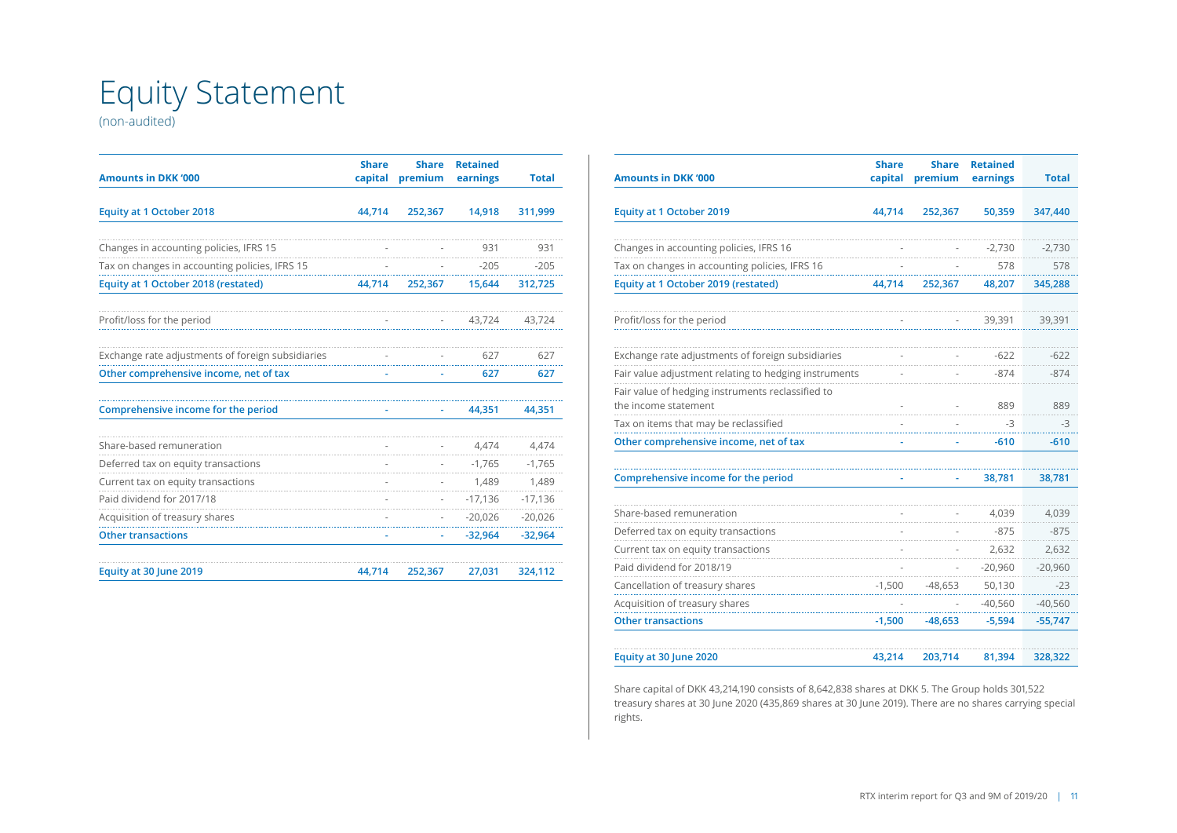# Equity Statement

(non-audited)

| <b>Amounts in DKK '000</b>                        | <b>Share</b><br>capital | <b>Share</b><br>premium | <b>Retained</b><br>earnings | <b>Total</b> |
|---------------------------------------------------|-------------------------|-------------------------|-----------------------------|--------------|
|                                                   |                         |                         |                             |              |
| <b>Equity at 1 October 2018</b>                   | 44,714                  | 252,367                 | 14,918                      | 311,999      |
|                                                   |                         |                         |                             |              |
| Changes in accounting policies, IFRS 15           |                         |                         | 931                         | 931          |
| Tax on changes in accounting policies, IFRS 15    |                         |                         | $-205$                      | $-205$       |
| Equity at 1 October 2018 (restated)               | 44,714                  | 252,367                 | 15,644                      | 312,725      |
| Profit/loss for the period                        |                         |                         | 43,724                      | 43,724       |
| Exchange rate adjustments of foreign subsidiaries |                         |                         | 627                         | 627          |
| Other comprehensive income, net of tax            |                         |                         | 627                         | 627          |
| Comprehensive income for the period               |                         |                         | 44,351                      | 44,351       |
| Share-based remuneration                          |                         |                         | 4,474                       | 4,474        |
| Deferred tax on equity transactions               |                         |                         | $-1,765$                    | $-1,765$     |
| Current tax on equity transactions                |                         |                         | 1,489                       | 1,489        |
| Paid dividend for 2017/18                         |                         |                         | $-17,136$                   | $-17,136$    |
| Acquisition of treasury shares                    |                         |                         | $-20,026$                   | $-20,026$    |
| <b>Other transactions</b>                         |                         |                         | $-32,964$                   | $-32,964$    |
| Equity at 30 June 2019                            | 44.714                  | 252,367                 | 27,031                      | 324,112      |

| <b>Amounts in DKK '000</b>                                                | <b>Share</b><br>capital | <b>Share</b><br>premium | <b>Retained</b><br>earnings | <b>Total</b> |
|---------------------------------------------------------------------------|-------------------------|-------------------------|-----------------------------|--------------|
| <b>Equity at 1 October 2019</b>                                           | 44,714                  | 252,367                 | 50,359                      | 347,440      |
| Changes in accounting policies, IFRS 16                                   |                         |                         | $-2,730$                    | $-2,730$     |
| Tax on changes in accounting policies, IFRS 16                            |                         |                         | 578                         | 578          |
| Equity at 1 October 2019 (restated)                                       | 44,714                  | 252,367                 | 48,207                      | 345,288      |
| Profit/loss for the period                                                |                         |                         | 39,391                      | 39,391       |
| Exchange rate adjustments of foreign subsidiaries                         |                         |                         | $-622$                      | $-622$       |
| Fair value adjustment relating to hedging instruments                     |                         |                         | $-874$                      | $-874$       |
| Fair value of hedging instruments reclassified to<br>the income statement |                         |                         | 889                         | 889          |
| Tax on items that may be reclassified                                     |                         |                         | -3                          | -3           |
| Other comprehensive income, net of tax                                    | ٠                       |                         | $-610$                      | $-610$       |
| Comprehensive income for the period                                       |                         |                         | 38,781                      | 38,781       |
| Share-based remuneration                                                  |                         |                         | 4,039                       | 4,039        |
| Deferred tax on equity transactions                                       |                         |                         | $-875$                      | $-875$       |
| Current tax on equity transactions                                        |                         |                         | 2,632                       | 2,632        |
| Paid dividend for 2018/19                                                 |                         |                         | $-20,960$                   | $-20,960$    |
| Cancellation of treasury shares                                           | $-1,500$                | $-48,653$               | 50,130                      | $-23$        |
| Acquisition of treasury shares                                            |                         |                         | $-40,560$                   | $-40,560$    |
| <b>Other transactions</b>                                                 | $-1,500$                | $-48,653$               | $-5,594$                    | $-55,747$    |
| Equity at 30 June 2020                                                    | 43,214                  | 203,714                 | 81,394                      | 328,322      |

Share capital of DKK 43,214,190 consists of 8,642,838 shares at DKK 5. The Group holds 301,522 treasury shares at 30 June 2020 (435,869 shares at 30 June 2019). There are no shares carrying special rights.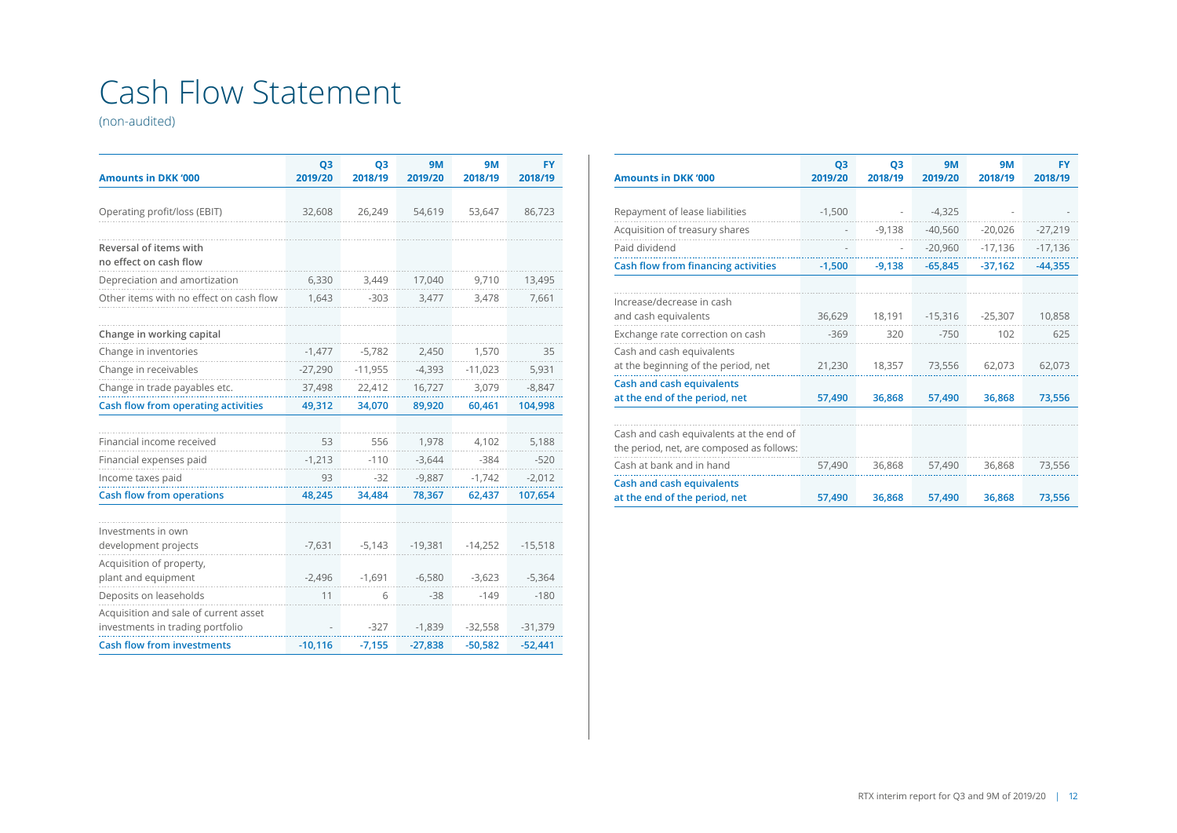# Cash Flow Statement

(non-audited)

| <b>Amounts in DKK '000</b>                                                | Q <sub>3</sub><br>2019/20 | Q <sub>3</sub><br>2018/19 | <b>9M</b><br>2019/20 | <b>9M</b><br>2018/19 | FY<br>2018/19 |
|---------------------------------------------------------------------------|---------------------------|---------------------------|----------------------|----------------------|---------------|
|                                                                           |                           |                           |                      |                      |               |
| Operating profit/loss (EBIT)                                              | 32,608                    | 26,249                    | 54,619               | 53,647               | 86,723        |
| Reversal of items with<br>no effect on cash flow                          |                           |                           |                      |                      |               |
| Depreciation and amortization                                             | 6,330                     | 3,449                     | 17,040               | 9,710                | 13,495        |
| Other items with no effect on cash flow                                   | 1,643                     | $-303$                    | 3,477                | 3,478                | 7,661         |
|                                                                           |                           |                           |                      |                      |               |
| Change in working capital                                                 |                           |                           |                      |                      |               |
| Change in inventories                                                     | $-1,477$                  | $-5,782$                  | 2,450                | 1,570                | 35            |
| Change in receivables                                                     | $-27,290$                 | $-11,955$                 | $-4,393$             | $-11,023$            | 5,931         |
| Change in trade payables etc.                                             | 37,498                    | 22,412                    | 16,727               | 3,079                | $-8,847$      |
| <b>Cash flow from operating activities</b>                                | 49,312                    | 34,070                    | 89,920               | 60,461               | 104,998       |
|                                                                           |                           |                           |                      |                      |               |
| Financial income received                                                 | 53                        | 556                       | 1,978                | 4,102                | 5,188         |
| Financial expenses paid                                                   | $-1,213$                  | $-110$                    | $-3,644$             | $-384$               | $-520$        |
| Income taxes paid                                                         | 93                        | $-32$                     | $-9,887$             | $-1.742$             | $-2,012$      |
| <b>Cash flow from operations</b>                                          | 48,245                    | 34,484                    | 78,367               | 62,437               | 107,654       |
|                                                                           |                           |                           |                      |                      |               |
| Investments in own<br>development projects                                | $-7,631$                  | $-5,143$                  | $-19,381$            | $-14,252$            | $-15,518$     |
| Acquisition of property,<br>plant and equipment                           | $-2,496$                  | $-1,691$                  | $-6,580$             | $-3,623$             | $-5,364$      |
| Deposits on leaseholds                                                    | 11                        | 6                         | $-38$                | $-149$               | $-180$        |
| Acquisition and sale of current asset<br>investments in trading portfolio |                           | $-327$                    | $-1,839$             | $-32,558$            | $-31,379$     |
| <b>Cash flow from investments</b>                                         | $-10,116$                 | $-7,155$                  | $-27,838$            | $-50,582$            | $-52,441$     |

| <b>Amounts in DKK '000</b>                                                           | Q <sub>3</sub><br>2019/20 | Q <sub>3</sub><br>2018/19 | <b>9M</b><br>2019/20 | <b>9M</b><br>2018/19 | <b>FY</b><br>2018/19 |
|--------------------------------------------------------------------------------------|---------------------------|---------------------------|----------------------|----------------------|----------------------|
|                                                                                      |                           |                           |                      |                      |                      |
| Repayment of lease liabilities                                                       | $-1,500$                  |                           | $-4,325$             |                      |                      |
| Acquisition of treasury shares                                                       |                           | $-9,138$                  | $-40,560$            | $-20,026$            | $-27,219$            |
| Paid dividend                                                                        |                           | $\overline{\phantom{m}}$  | $-20,960$            | $-17,136$            | $-17,136$            |
| Cash flow from financing activities                                                  | $-1,500$                  | $-9,138$                  | $-65,845$            | $-37,162$            | $-44,355$            |
|                                                                                      |                           |                           |                      |                      |                      |
| Increase/decrease in cash<br>and cash equivalents                                    | 36,629                    | 18,191                    | $-15,316$            | $-25,307$            | 10,858               |
| Exchange rate correction on cash                                                     | $-369$                    | 320                       | $-750$               | 102                  | 625                  |
| Cash and cash equivalents<br>at the beginning of the period, net                     | 21,230                    | 18,357                    | 73,556               | 62,073               | 62,073               |
| <b>Cash and cash equivalents</b><br>at the end of the period, net                    | 57,490                    | 36,868                    | 57,490               | 36,868               | 73,556               |
|                                                                                      |                           |                           |                      |                      |                      |
| Cash and cash equivalents at the end of<br>the period, net, are composed as follows: |                           |                           |                      |                      |                      |
| Cash at bank and in hand                                                             | 57,490                    | 36,868                    | 57,490               | 36,868               | 73,556               |
| Cash and cash equivalents<br>at the end of the period, net                           | 57,490                    | 36,868                    | 57,490               | 36,868               | 73,556               |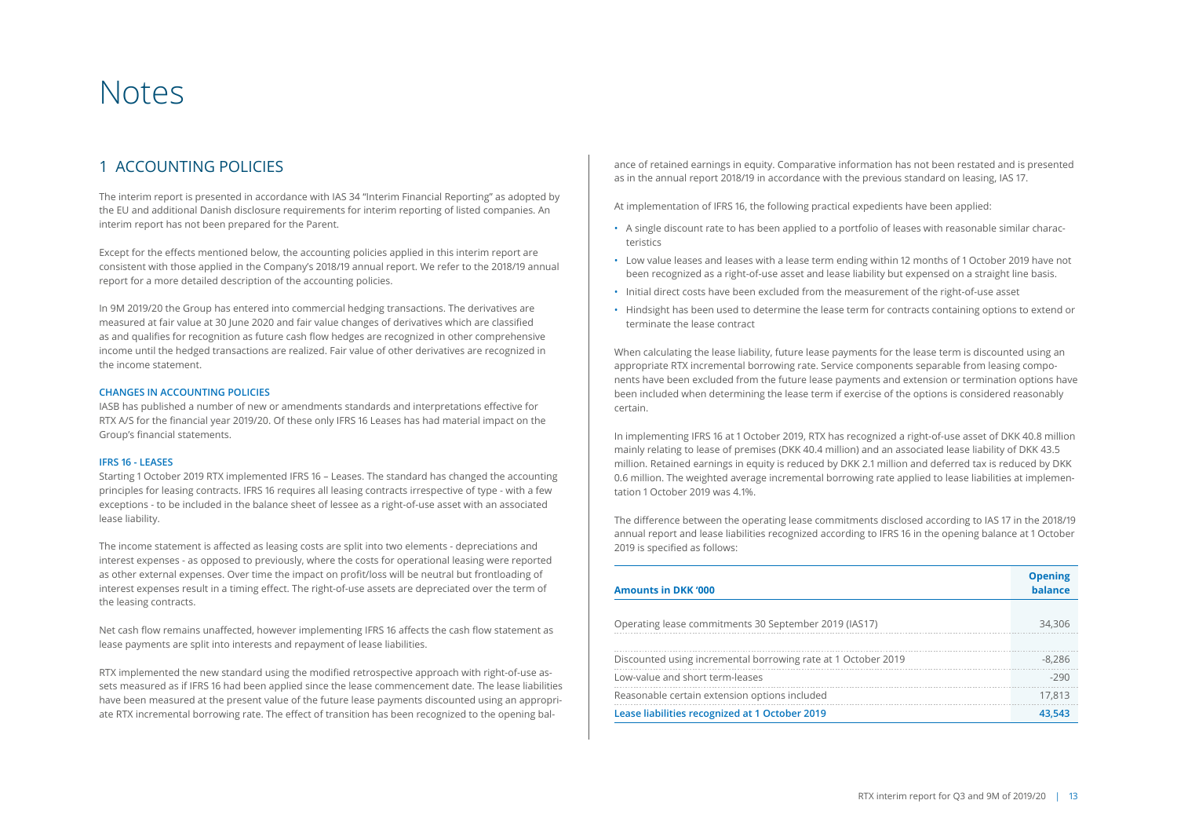# Notes

## 1 ACCOUNTING POLICIES

The interim report is presented in accordance with IAS 34 "Interim Financial Reporting" as adopted by the EU and additional Danish disclosure requirements for interim reporting of listed companies. An interim report has not been prepared for the Parent.

Except for the effects mentioned below, the accounting policies applied in this interim report are consistent with those applied in the Company's 2018/19 annual report. We refer to the 2018/19 annual report for a more detailed description of the accounting policies.

In 9M 2019/20 the Group has entered into commercial hedging transactions. The derivatives are measured at fair value at 30 June 2020 and fair value changes of derivatives which are classified as and qualifies for recognition as future cash flow hedges are recognized in other comprehensive income until the hedged transactions are realized. Fair value of other derivatives are recognized in the income statement.

### **CHANGES IN ACCOUNTING POLICIES**

IASB has published a number of new or amendments standards and interpretations effective for RTX A/S for the financial year 2019/20. Of these only IFRS 16 Leases has had material impact on the Group's financial statements.

### **IFRS 16 - LEASES**

Starting 1 October 2019 RTX implemented IFRS 16 – Leases. The standard has changed the accounting principles for leasing contracts. IFRS 16 requires all leasing contracts irrespective of type - with a few exceptions - to be included in the balance sheet of lessee as a right-of-use asset with an associated lease liability.

The income statement is affected as leasing costs are split into two elements - depreciations and interest expenses - as opposed to previously, where the costs for operational leasing were reported as other external expenses. Over time the impact on profit/loss will be neutral but frontloading of interest expenses result in a timing effect. The right-of-use assets are depreciated over the term of the leasing contracts.

Net cash flow remains unaffected, however implementing IFRS 16 affects the cash flow statement as lease payments are split into interests and repayment of lease liabilities.

RTX implemented the new standard using the modified retrospective approach with right-of-use assets measured as if IFRS 16 had been applied since the lease commencement date. The lease liabilities have been measured at the present value of the future lease payments discounted using an appropriate RTX incremental borrowing rate. The effect of transition has been recognized to the opening balance of retained earnings in equity. Comparative information has not been restated and is presented as in the annual report 2018/19 in accordance with the previous standard on leasing, IAS 17.

At implementation of IFRS 16, the following practical expedients have been applied:

- A single discount rate to has been applied to a portfolio of leases with reasonable similar characteristics
- Low value leases and leases with a lease term ending within 12 months of 1 October 2019 have not been recognized as a right-of-use asset and lease liability but expensed on a straight line basis.
- Initial direct costs have been excluded from the measurement of the right-of-use asset
- Hindsight has been used to determine the lease term for contracts containing options to extend or terminate the lease contract

When calculating the lease liability, future lease payments for the lease term is discounted using an appropriate RTX incremental borrowing rate. Service components separable from leasing components have been excluded from the future lease payments and extension or termination options have been included when determining the lease term if exercise of the options is considered reasonably certain.

In implementing IFRS 16 at 1 October 2019, RTX has recognized a right-of-use asset of DKK 40.8 million mainly relating to lease of premises (DKK 40.4 million) and an associated lease liability of DKK 43.5 million. Retained earnings in equity is reduced by DKK 2.1 million and deferred tax is reduced by DKK 0.6 million. The weighted average incremental borrowing rate applied to lease liabilities at implementation 1 October 2019 was 4.1%.

The difference between the operating lease commitments disclosed according to IAS 17 in the 2018/19 annual report and lease liabilities recognized according to IFRS 16 in the opening balance at 1 October 2019 is specified as follows:

| <b>Amounts in DKK '000</b>                                    | <b>Opening</b><br>balance |
|---------------------------------------------------------------|---------------------------|
| Operating lease commitments 30 September 2019 (IAS17)         | 34,306                    |
|                                                               |                           |
| Discounted using incremental borrowing rate at 1 October 2019 | $-8,286$                  |
| Low-value and short term-leases                               | $-290$                    |
| Reasonable certain extension options included                 | 17.813                    |
| Lease liabilities recognized at 1 October 2019                | 43.543                    |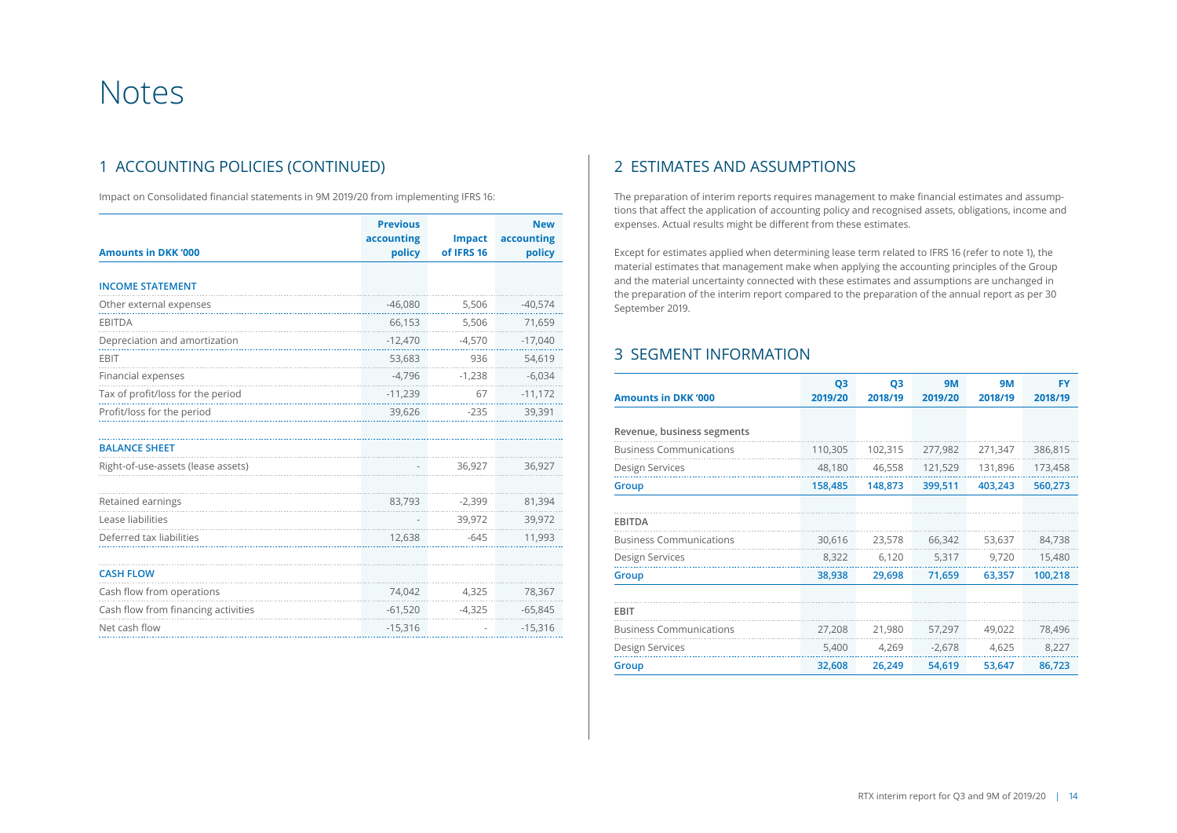# Notes

# 1 ACCOUNTING POLICIES (CONTINUED)

Impact on Consolidated financial statements in 9M 2019/20 from implementing IFRS 16:

| <b>Amounts in DKK '000</b>          | <b>Previous</b><br>accounting<br>policy | <b>Impact</b><br>of IFRS 16 | <b>New</b><br>accounting<br>policy |  |
|-------------------------------------|-----------------------------------------|-----------------------------|------------------------------------|--|
| <b>INCOME STATEMENT</b>             |                                         |                             |                                    |  |
| Other external expenses             | $-46,080$                               | 5,506                       | $-40,574$                          |  |
| <b>EBITDA</b>                       | 66,153                                  | 5,506                       | 71,659                             |  |
| Depreciation and amortization       | $-12,470$                               | $-4,570$                    | $-17,040$                          |  |
| <b>EBIT</b>                         | 53,683                                  | 936                         | 54,619                             |  |
| Financial expenses                  | $-4,796$                                | $-1,238$                    | $-6,034$                           |  |
| Tax of profit/loss for the period   | $-11,239$                               | 67                          | $-11,172$                          |  |
| Profit/loss for the period          | 39,626                                  | $-235$                      | 39,391                             |  |
| <b>BALANCE SHEET</b>                |                                         |                             |                                    |  |
| Right-of-use-assets (lease assets)  |                                         | 36,927                      | 36,927                             |  |
| Retained earnings                   | 83,793                                  | $-2,399$                    | 81,394                             |  |
| Lease liabilities                   |                                         | 39,972                      | 39,972                             |  |
| Deferred tax liabilities            | 12,638                                  | $-645$                      | 11,993                             |  |
| <b>CASH FLOW</b>                    |                                         |                             |                                    |  |
| Cash flow from operations           | 74,042                                  | 4,325                       | 78,367                             |  |
| Cash flow from financing activities | $-61,520$                               | $-4,325$                    | $-65,845$                          |  |
| Net cash flow                       | $-15,316$                               |                             | $-15,316$                          |  |

## 2 ESTIMATES AND ASSUMPTIONS

The preparation of interim reports requires management to make financial estimates and assumptions that affect the application of accounting policy and recognised assets, obligations, income and expenses. Actual results might be different from these estimates.

Except for estimates applied when determining lease term related to IFRS 16 (refer to note 1), the material estimates that management make when applying the accounting principles of the Group and the material uncertainty connected with these estimates and assumptions are unchanged in the preparation of the interim report compared to the preparation of the annual report as per 30 September 2019.

## 3 SEGMENT INFORMATION

| <b>Amounts in DKK '000</b>     | Q <sub>3</sub><br>2019/20 | Q <sub>3</sub><br>2018/19 | <b>9M</b><br>2019/20 | <b>9M</b><br>2018/19 | <b>FY</b><br>2018/19 |
|--------------------------------|---------------------------|---------------------------|----------------------|----------------------|----------------------|
|                                |                           |                           |                      |                      |                      |
| Revenue, business segments     |                           |                           |                      |                      |                      |
| <b>Business Communications</b> | 110,305                   | 102,315                   | 277,982              | 271,347              | 386,815              |
| Design Services                | 48,180                    | 46,558                    | 121,529              | 131,896              | 173,458              |
| Group                          | 158,485                   | 148,873                   | 399,511              | 403,243              | 560,273              |
| <b>EBITDA</b>                  |                           |                           |                      |                      |                      |
| <b>Business Communications</b> | 30,616                    | 23,578                    | 66,342               | 53,637               | 84,738               |
| Design Services                | 8,322                     | 6,120                     | 5,317                | 9,720                | 15,480               |
| Group                          | 38,938                    | 29,698                    | 71,659               | 63,357               | 100,218              |
| <b>EBIT</b>                    |                           |                           |                      |                      |                      |
| <b>Business Communications</b> | 27,208                    | 21,980                    | 57,297               | 49,022               | 78,496               |
| Design Services                | 5,400                     | 4,269                     | $-2,678$             | 4,625                | 8,227                |
| Group                          | 32,608                    | 26,249                    | 54,619               | 53,647               | 86,723               |